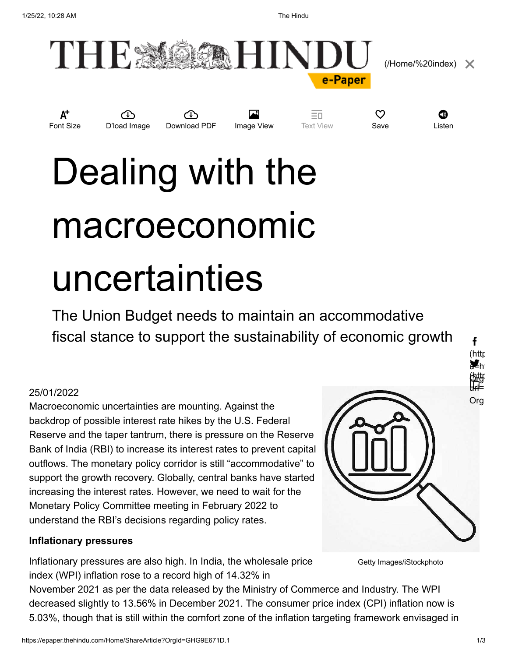

 [\(/Home/%20index\)](https://epaper.thehindu.com/Home/%20index)

**Font Size D'load Image Download PDF Image View** Text View **Save Listen** 

Text View

 $\heartsuit$  or

# Dealing with the macroeconomic uncertainties

The Union Budget needs to maintain an accommodative fiscal stance to support the sustainability of economic growth

# 25/01/2022

Macroeconomic uncertainties are mounting. Against the backdrop of possible interest rate hikes by the U.S. Federal Reserve and the taper tantrum, there is pressure on the Reserve Bank of India (RBI) to increase its interest rates to prevent capital outflows. The monetary policy corridor is still "accommodative" to support the growth recovery. Globally, central banks have started increasing the interest rates. However, we need to wait for the Monetary Policy Committee meeting in February 2022 to understand the RBI's decisions regarding policy rates.

# **Inflationary pressures**

Inflationary pressures are also high. In India, the wholesale price index (WPI) inflation rose to a record high of 14.32% in

Getty Images/iStockphoto

November 2021 as per the data released by the Ministry of Commerce and Industry. The WPI decreased slightly to 13.56% in December 2021. The consumer price index (CPI) inflation now is 5.03%, though that is still within the comfort zone of the inflation targeting framework envisaged in

(httr u<sup>⊒</sup>h Org (http url= Org

¥h

酣

f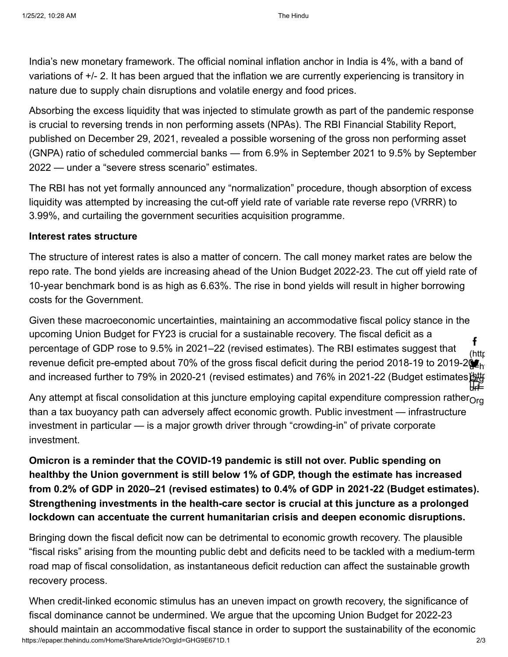India's new monetary framework. The official nominal inflation anchor in India is 4%, with a band of variations of +/- 2. It has been argued that the inflation we are currently experiencing is transitory in nature due to supply chain disruptions and volatile energy and food prices.

Absorbing the excess liquidity that was injected to stimulate growth as part of the pandemic response is crucial to reversing trends in non performing assets (NPAs). The RBI Financial Stability Report, published on December 29, 2021, revealed a possible worsening of the gross non performing asset (GNPA) ratio of scheduled commercial banks — from 6.9% in September 2021 to 9.5% by September 2022 — under a "severe stress scenario" estimates.

The RBI has not yet formally announced any "normalization" procedure, though absorption of excess liquidity was attempted by increasing the cut-off yield rate of variable rate reverse repo (VRRR) to 3.99%, and curtailing the government securities acquisition programme.

### **Interest rates structure**

The structure of interest rates is also a matter of concern. The call money market rates are below the repo rate. The bond yields are increasing ahead of the Union Budget 2022-23. The cut off yield rate of 10-year benchmark bond is as high as 6.63%. The rise in bond yields will result in higher borrowing costs for the Government.

Given these macroeconomic uncertainties, maintaining an accommodative fiscal policy stance in the upcoming Union Budget for FY23 is crucial for a sustainable recovery. The fiscal deficit as a percentage of GDP rose to 9.5% in 2021–22 (revised estimates). The RBI estimates suggest that revenue deficit pre-empted about 70% of the gross fiscal deficit during the period 2018-19 to 2019-2 $\mathbf{\hat{g}_{h}}$ and increased further to 79% in 2020-21 (revised estimates) and 76% in 2021-22 (Budget estimates) $\sharp$ (httr u=ht Org (http url= f

Any attempt at fiscal consolidation at this juncture employing capital expenditure compression rather $_{\mathsf{Org}}$ than a tax buoyancy path can adversely affect economic growth. Public investment — infrastructure investment in particular — is a major growth driver through "crowding-in" of private corporate investment.

**Omicron is a reminder that the COVID-19 pandemic is still not over. Public spending on healthby the Union government is still below 1% of GDP, though the estimate has increased from 0.2% of GDP in 2020–21 (revised estimates) to 0.4% of GDP in 2021-22 (Budget estimates). Strengthening investments in the health-care sector is crucial at this juncture as a prolonged lockdown can accentuate the current humanitarian crisis and deepen economic disruptions.**

Bringing down the fiscal deficit now can be detrimental to economic growth recovery. The plausible "fiscal risks" arising from the mounting public debt and deficits need to be tackled with a medium-term road map of fiscal consolidation, as instantaneous deficit reduction can affect the sustainable growth recovery process.

https://epaper.thehindu.com/Home/ShareArticle?OrgId=GHG9E671D.1 2/3 When credit-linked economic stimulus has an uneven impact on growth recovery, the significance of fiscal dominance cannot be undermined. We argue that the upcoming Union Budget for 2022-23 should maintain an accommodative fiscal stance in order to support the sustainability of the economic